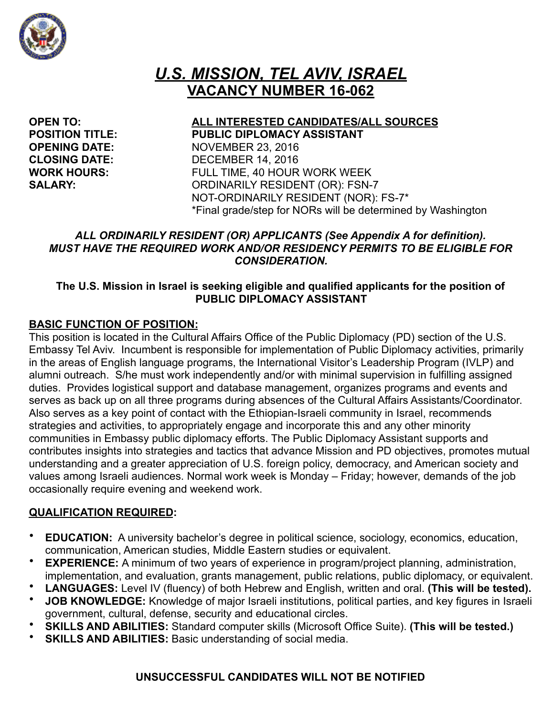

# *U.S. MISSION, TEL AVIV, ISRAEL*  **VACANCY NUMBER 16-062**

**OPEN TO: ALL INTERESTED CANDIDATES/ALL SOURCES POSITION TITLE: PUBLIC DIPLOMACY ASSISTANT OPENING DATE:** NOVEMBER 23, 2016 **CLOSING DATE:** DECEMBER 14, 2016 **WORK HOURS:** FULL TIME, 40 HOUR WORK WEEK **SALARY:** ORDINARILY RESIDENT (OR): FSN-7 NOT-ORDINARILY RESIDENT (NOR): FS-7\* \*Final grade/step for NORs will be determined by Washington

### *ALL ORDINARILY RESIDENT (OR) APPLICANTS (See Appendix A for definition). MUST HAVE THE REQUIRED WORK AND/OR RESIDENCY PERMITS TO BE ELIGIBLE FOR CONSIDERATION.*

### **The U.S. Mission in Israel is seeking eligible and qualified applicants for the position of PUBLIC DIPLOMACY ASSISTANT**

### **BASIC FUNCTION OF POSITION:**

This position is located in the Cultural Affairs Office of the Public Diplomacy (PD) section of the U.S. Embassy Tel Aviv. Incumbent is responsible for implementation of Public Diplomacy activities, primarily in the areas of English language programs, the International Visitor's Leadership Program (IVLP) and alumni outreach. S/he must work independently and/or with minimal supervision in fulfilling assigned duties. Provides logistical support and database management, organizes programs and events and serves as back up on all three programs during absences of the Cultural Affairs Assistants/Coordinator. Also serves as a key point of contact with the Ethiopian-Israeli community in Israel, recommends strategies and activities, to appropriately engage and incorporate this and any other minority communities in Embassy public diplomacy efforts. The Public Diplomacy Assistant supports and contributes insights into strategies and tactics that advance Mission and PD objectives, promotes mutual understanding and a greater appreciation of U.S. foreign policy, democracy, and American society and values among Israeli audiences. Normal work week is Monday – Friday; however, demands of the job occasionally require evening and weekend work.

#### **QUALIFICATION REQUIRED:**

- **EDUCATION:** A university bachelor's degree in political science, sociology, economics, education, communication, American studies, Middle Eastern studies or equivalent.
- **EXPERIENCE:** A minimum of two years of experience in program/project planning, administration, implementation, and evaluation, grants management, public relations, public diplomacy, or equivalent.
- **LANGUAGES:** Level IV (fluency) of both Hebrew and English, written and oral. **(This will be tested).**
- **JOB KNOWLEDGE:** Knowledge of major Israeli institutions, political parties, and key figures in Israeli government, cultural, defense, security and educational circles.
- **SKILLS AND ABILITIES:** Standard computer skills (Microsoft Office Suite). **(This will be tested.)**
- **SKILLS AND ABILITIES:** Basic understanding of social media.

### **UNSUCCESSFUL CANDIDATES WILL NOT BE NOTIFIED**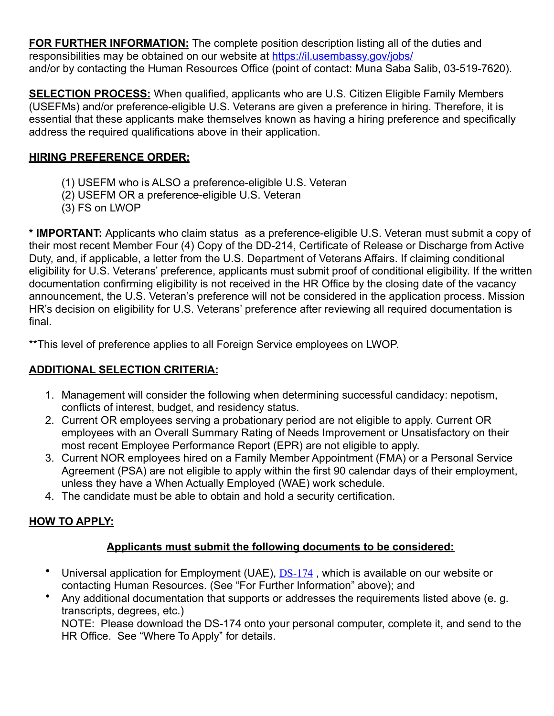**FOR FURTHER INFORMATION:** The complete position description listing all of the duties and responsibilities may be obtained on our website at<https://il.usembassy.gov/jobs/> and/or by contacting the Human Resources Office (point of contact: Muna Saba Salib, 03-519-7620).

**SELECTION PROCESS:** When qualified, applicants who are U.S. Citizen Eligible Family Members (USEFMs) and/or preference-eligible U.S. Veterans are given a preference in hiring. Therefore, it is essential that these applicants make themselves known as having a hiring preference and specifically address the required qualifications above in their application.

### **HIRING PREFERENCE ORDER:**

- (1) USEFM who is ALSO a preference-eligible U.S. Veteran
- (2) USEFM OR a preference-eligible U.S. Veteran
- (3) FS on LWOP

**\* IMPORTANT:** Applicants who claim status as a preference-eligible U.S. Veteran must submit a copy of their most recent Member Four (4) Copy of the DD-214, Certificate of Release or Discharge from Active Duty, and, if applicable, a letter from the U.S. Department of Veterans Affairs. If claiming conditional eligibility for U.S. Veterans' preference, applicants must submit proof of conditional eligibility. If the written documentation confirming eligibility is not received in the HR Office by the closing date of the vacancy announcement, the U.S. Veteran's preference will not be considered in the application process. Mission HR's decision on eligibility for U.S. Veterans' preference after reviewing all required documentation is final.

\*\*This level of preference applies to all Foreign Service employees on LWOP.

## **ADDITIONAL SELECTION CRITERIA:**

- 1. Management will consider the following when determining successful candidacy: nepotism, conflicts of interest, budget, and residency status.
- 2. Current OR employees serving a probationary period are not eligible to apply. Current OR employees with an Overall Summary Rating of Needs Improvement or Unsatisfactory on their most recent Employee Performance Report (EPR) are not eligible to apply.
- 3. Current NOR employees hired on a Family Member Appointment (FMA) or a Personal Service Agreement (PSA) are not eligible to apply within the first 90 calendar days of their employment, unless they have a When Actually Employed (WAE) work schedule.
- 4. The candidate must be able to obtain and hold a security certification.

# **HOW TO APPLY:**

## **Applicants must submit the following documents to be considered:**

- Universal application for Employment (UAE), [DS-174](https://il.usembassy.gov/wp-content/uploads/sites/33/2016/11/DS-174.doc), which is available on our website or contacting Human Resources. (See "For Further Information" above); and
- Any additional documentation that supports or addresses the requirements listed above (e. g. transcripts, degrees, etc.)

NOTE: Please download the DS-174 onto your personal computer, complete it, and send to the HR Office. See "Where To Apply" for details.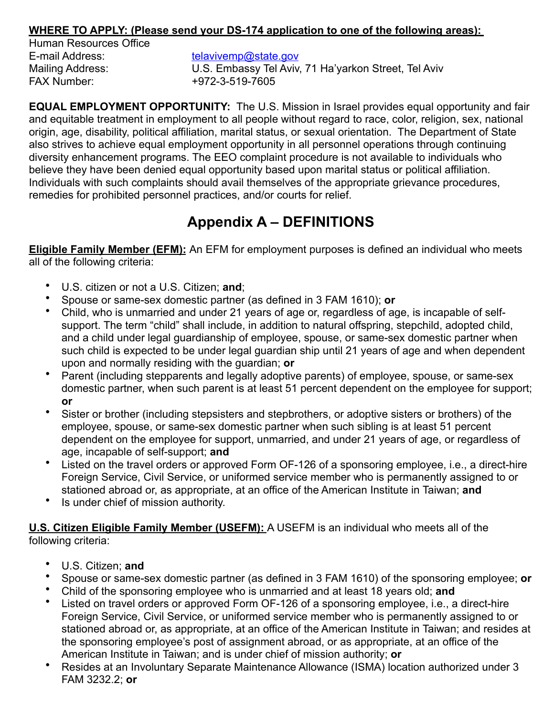#### **WHERE TO APPLY: (Please send your DS-174 application to one of the following areas):**

Human Resources Office E-mail Address: the avivemp@state.gov FAX Number: +972-3-519-7605

Mailing Address: U.S. Embassy Tel Aviv, 71 Ha'yarkon Street, Tel Aviv

**EQUAL EMPLOYMENT OPPORTUNITY:** The U.S. Mission in Israel provides equal opportunity and fair and equitable treatment in employment to all people without regard to race, color, religion, sex, national origin, age, disability, political affiliation, marital status, or sexual orientation. The Department of State also strives to achieve equal employment opportunity in all personnel operations through continuing diversity enhancement programs. The EEO complaint procedure is not available to individuals who believe they have been denied equal opportunity based upon marital status or political affiliation. Individuals with such complaints should avail themselves of the appropriate grievance procedures, remedies for prohibited personnel practices, and/or courts for relief.

# **Appendix A – DEFINITIONS**

**Eligible Family Member (EFM):** An EFM for employment purposes is defined an individual who meets all of the following criteria:

- U.S. citizen or not a U.S. Citizen; **and**;
- Spouse or same-sex domestic partner (as defined in 3 FAM 1610); **or**
- Child, who is unmarried and under 21 years of age or, regardless of age, is incapable of selfsupport. The term "child" shall include, in addition to natural offspring, stepchild, adopted child, and a child under legal guardianship of employee, spouse, or same-sex domestic partner when such child is expected to be under legal guardian ship until 21 years of age and when dependent upon and normally residing with the guardian; **or**
- Parent (including stepparents and legally adoptive parents) of employee, spouse, or same-sex domestic partner, when such parent is at least 51 percent dependent on the employee for support; **or**
- Sister or brother (including stepsisters and stepbrothers, or adoptive sisters or brothers) of the employee, spouse, or same-sex domestic partner when such sibling is at least 51 percent dependent on the employee for support, unmarried, and under 21 years of age, or regardless of age, incapable of self-support; **and**
- Listed on the travel orders or approved Form OF-126 of a sponsoring employee, i.e., a direct-hire Foreign Service, Civil Service, or uniformed service member who is permanently assigned to or stationed abroad or, as appropriate, at an office of the American Institute in Taiwan; **and**
- Is under chief of mission authority.

**U.S. Citizen Eligible Family Member (USEFM):** A USEFM is an individual who meets all of the following criteria:

- U.S. Citizen; **and**
- Spouse or same-sex domestic partner (as defined in 3 FAM 1610) of the sponsoring employee; **or**
- Child of the sponsoring employee who is unmarried and at least 18 years old; **and**
- Listed on travel orders or approved Form OF-126 of a sponsoring employee, i.e., a direct-hire Foreign Service, Civil Service, or uniformed service member who is permanently assigned to or stationed abroad or, as appropriate, at an office of the American Institute in Taiwan; and resides at the sponsoring employee's post of assignment abroad, or as appropriate, at an office of the American Institute in Taiwan; and is under chief of mission authority; **or**
- Resides at an Involuntary Separate Maintenance Allowance (ISMA) location authorized under 3 FAM 3232.2; **or**